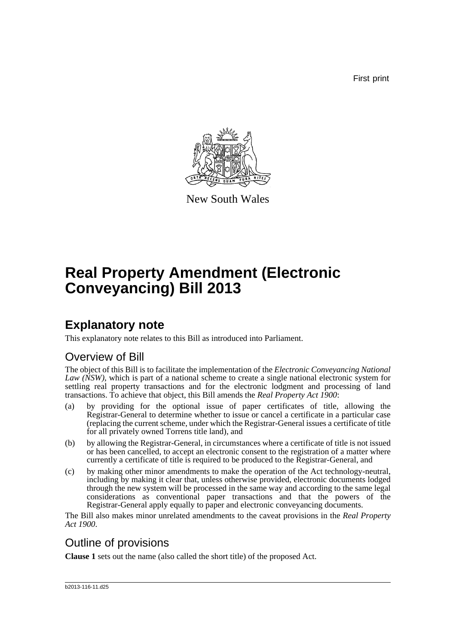First print



New South Wales

# **Real Property Amendment (Electronic Conveyancing) Bill 2013**

## **Explanatory note**

This explanatory note relates to this Bill as introduced into Parliament.

### Overview of Bill

The object of this Bill is to facilitate the implementation of the *Electronic Conveyancing National Law (NSW)*, which is part of a national scheme to create a single national electronic system for settling real property transactions and for the electronic lodgment and processing of land transactions. To achieve that object, this Bill amends the *Real Property Act 1900*:

- (a) by providing for the optional issue of paper certificates of title, allowing the Registrar-General to determine whether to issue or cancel a certificate in a particular case (replacing the current scheme, under which the Registrar-General issues a certificate of title for all privately owned Torrens title land), and
- (b) by allowing the Registrar-General, in circumstances where a certificate of title is not issued or has been cancelled, to accept an electronic consent to the registration of a matter where currently a certificate of title is required to be produced to the Registrar-General, and
- (c) by making other minor amendments to make the operation of the Act technology-neutral, including by making it clear that, unless otherwise provided, electronic documents lodged through the new system will be processed in the same way and according to the same legal considerations as conventional paper transactions and that the powers of the Registrar-General apply equally to paper and electronic conveyancing documents.

The Bill also makes minor unrelated amendments to the caveat provisions in the *Real Property Act 1900*.

### Outline of provisions

**Clause 1** sets out the name (also called the short title) of the proposed Act.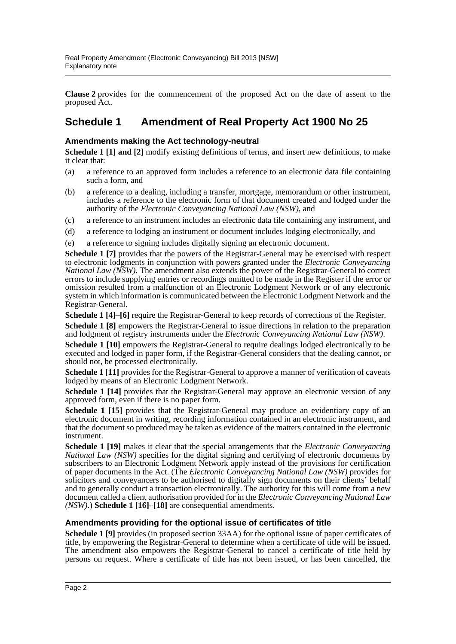**Clause 2** provides for the commencement of the proposed Act on the date of assent to the proposed Act.

### **Schedule 1 Amendment of Real Property Act 1900 No 25**

#### **Amendments making the Act technology-neutral**

**Schedule 1 [1] and [2]** modify existing definitions of terms, and insert new definitions, to make it clear that:

- (a) a reference to an approved form includes a reference to an electronic data file containing such a form, and
- (b) a reference to a dealing, including a transfer, mortgage, memorandum or other instrument, includes a reference to the electronic form of that document created and lodged under the authority of the *Electronic Conveyancing National Law (NSW)*, and
- (c) a reference to an instrument includes an electronic data file containing any instrument, and
- (d) a reference to lodging an instrument or document includes lodging electronically, and
- (e) a reference to signing includes digitally signing an electronic document.

**Schedule 1 [7]** provides that the powers of the Registrar-General may be exercised with respect to electronic lodgments in conjunction with powers granted under the *Electronic Conveyancing National Law (NSW)*. The amendment also extends the power of the Registrar-General to correct errors to include supplying entries or recordings omitted to be made in the Register if the error or omission resulted from a malfunction of an Electronic Lodgment Network or of any electronic system in which information is communicated between the Electronic Lodgment Network and the Registrar-General.

**Schedule 1 [4]–[6]** require the Registrar-General to keep records of corrections of the Register.

**Schedule 1 [8]** empowers the Registrar-General to issue directions in relation to the preparation and lodgment of registry instruments under the *Electronic Conveyancing National Law (NSW)*.

**Schedule 1 [10]** empowers the Registrar-General to require dealings lodged electronically to be executed and lodged in paper form, if the Registrar-General considers that the dealing cannot, or should not, be processed electronically.

**Schedule 1 [11]** provides for the Registrar-General to approve a manner of verification of caveats lodged by means of an Electronic Lodgment Network.

Schedule 1 [14] provides that the Registrar-General may approve an electronic version of any approved form, even if there is no paper form.

**Schedule 1 [15]** provides that the Registrar-General may produce an evidentiary copy of an electronic document in writing, recording information contained in an electronic instrument, and that the document so produced may be taken as evidence of the matters contained in the electronic instrument.

**Schedule 1 [19]** makes it clear that the special arrangements that the *Electronic Conveyancing National Law (NSW)* specifies for the digital signing and certifying of electronic documents by subscribers to an Electronic Lodgment Network apply instead of the provisions for certification of paper documents in the Act. (The *Electronic Conveyancing National Law (NSW)* provides for solicitors and conveyancers to be authorised to digitally sign documents on their clients' behalf and to generally conduct a transaction electronically. The authority for this will come from a new document called a client authorisation provided for in the *Electronic Conveyancing National Law (NSW)*.) **Schedule 1 [16]–[18]** are consequential amendments.

#### **Amendments providing for the optional issue of certificates of title**

**Schedule 1 [9]** provides (in proposed section 33AA) for the optional issue of paper certificates of title, by empowering the Registrar-General to determine when a certificate of title will be issued. The amendment also empowers the Registrar-General to cancel a certificate of title held by persons on request. Where a certificate of title has not been issued, or has been cancelled, the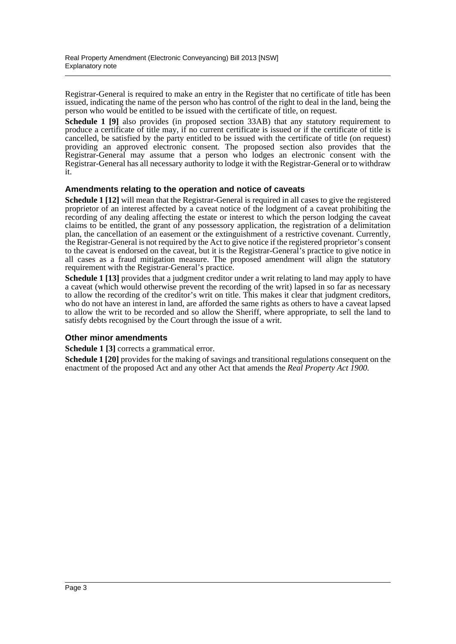Registrar-General is required to make an entry in the Register that no certificate of title has been issued, indicating the name of the person who has control of the right to deal in the land, being the person who would be entitled to be issued with the certificate of title, on request.

**Schedule 1 [9]** also provides (in proposed section 33AB) that any statutory requirement to produce a certificate of title may, if no current certificate is issued or if the certificate of title is cancelled, be satisfied by the party entitled to be issued with the certificate of title (on request) providing an approved electronic consent. The proposed section also provides that the Registrar-General may assume that a person who lodges an electronic consent with the Registrar-General has all necessary authority to lodge it with the Registrar-General or to withdraw it.

#### **Amendments relating to the operation and notice of caveats**

**Schedule 1 [12]** will mean that the Registrar-General is required in all cases to give the registered proprietor of an interest affected by a caveat notice of the lodgment of a caveat prohibiting the recording of any dealing affecting the estate or interest to which the person lodging the caveat claims to be entitled, the grant of any possessory application, the registration of a delimitation plan, the cancellation of an easement or the extinguishment of a restrictive covenant. Currently, the Registrar-General is not required by the Act to give notice if the registered proprietor's consent to the caveat is endorsed on the caveat, but it is the Registrar-General's practice to give notice in all cases as a fraud mitigation measure. The proposed amendment will align the statutory requirement with the Registrar-General's practice.

**Schedule 1 [13]** provides that a judgment creditor under a writ relating to land may apply to have a caveat (which would otherwise prevent the recording of the writ) lapsed in so far as necessary to allow the recording of the creditor's writ on title. This makes it clear that judgment creditors, who do not have an interest in land, are afforded the same rights as others to have a caveat lapsed to allow the writ to be recorded and so allow the Sheriff, where appropriate, to sell the land to satisfy debts recognised by the Court through the issue of a writ.

#### **Other minor amendments**

**Schedule 1 [3]** corrects a grammatical error.

**Schedule 1 [20]** provides for the making of savings and transitional regulations consequent on the enactment of the proposed Act and any other Act that amends the *Real Property Act 1900*.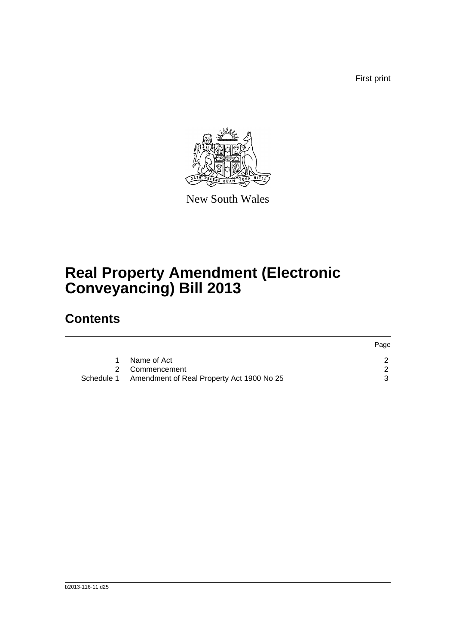First print



New South Wales

# **Real Property Amendment (Electronic Conveyancing) Bill 2013**

## **Contents**

|                                                      | Page |
|------------------------------------------------------|------|
| Name of Act                                          |      |
| 2 Commencement                                       |      |
| Schedule 1 Amendment of Real Property Act 1900 No 25 |      |
|                                                      |      |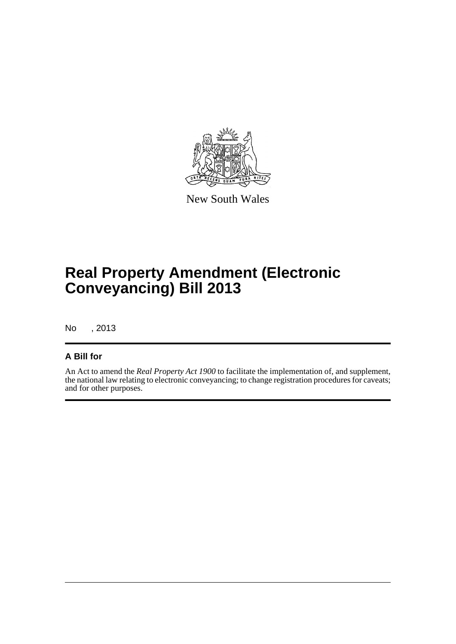

New South Wales

# **Real Property Amendment (Electronic Conveyancing) Bill 2013**

No , 2013

#### **A Bill for**

An Act to amend the *Real Property Act 1900* to facilitate the implementation of, and supplement, the national law relating to electronic conveyancing; to change registration procedures for caveats; and for other purposes.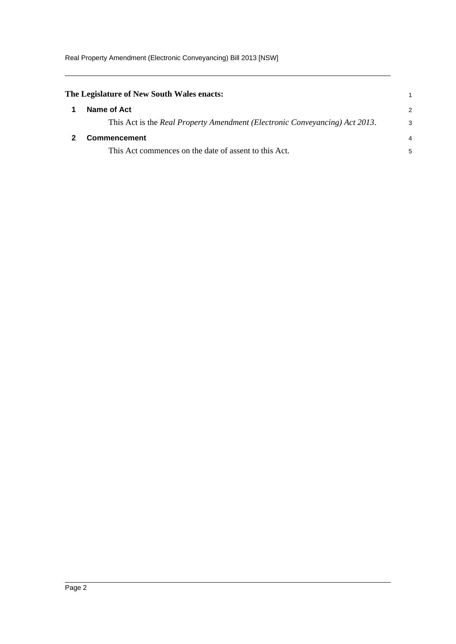Real Property Amendment (Electronic Conveyancing) Bill 2013 [NSW]

<span id="page-5-1"></span><span id="page-5-0"></span>

| The Legislature of New South Wales enacts:                                  |   |
|-----------------------------------------------------------------------------|---|
| Name of Act                                                                 | 2 |
| This Act is the Real Property Amendment (Electronic Conveyancing) Act 2013. | 3 |
| Commencement                                                                |   |
| This Act commences on the date of assent to this Act.                       | 5 |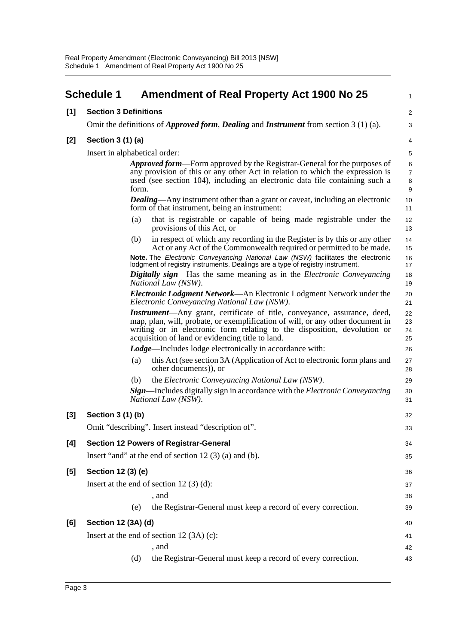<span id="page-6-0"></span>

|       | <b>Schedule 1</b>                                                                                                                                                     | <b>Amendment of Real Property Act 1900 No 25</b>                                                                                                                                                                                                                                                   | $\mathbf{1}$         |  |  |
|-------|-----------------------------------------------------------------------------------------------------------------------------------------------------------------------|----------------------------------------------------------------------------------------------------------------------------------------------------------------------------------------------------------------------------------------------------------------------------------------------------|----------------------|--|--|
| [1]   | <b>Section 3 Definitions</b>                                                                                                                                          |                                                                                                                                                                                                                                                                                                    | 2                    |  |  |
|       | Omit the definitions of <i>Approved form, Dealing</i> and <i>Instrument</i> from section $3(1)(a)$ .                                                                  |                                                                                                                                                                                                                                                                                                    |                      |  |  |
| $[2]$ | Section 3 (1) (a)                                                                                                                                                     |                                                                                                                                                                                                                                                                                                    |                      |  |  |
|       |                                                                                                                                                                       | Insert in alphabetical order:                                                                                                                                                                                                                                                                      | 5                    |  |  |
|       |                                                                                                                                                                       | <b>Approved form—Form approved by the Registrar-General for the purposes of</b>                                                                                                                                                                                                                    | 6<br>$\overline{7}$  |  |  |
|       | any provision of this or any other Act in relation to which the expression is<br>used (see section 104), including an electronic data file containing such a<br>form. |                                                                                                                                                                                                                                                                                                    |                      |  |  |
|       |                                                                                                                                                                       | <b>Dealing</b> —Any instrument other than a grant or caveat, including an electronic<br>form of that instrument, being an instrument:                                                                                                                                                              | 10<br>11             |  |  |
|       |                                                                                                                                                                       | that is registrable or capable of being made registrable under the<br>(a)<br>provisions of this Act, or                                                                                                                                                                                            | 12<br>13             |  |  |
|       |                                                                                                                                                                       | in respect of which any recording in the Register is by this or any other<br>(b)<br>Act or any Act of the Commonwealth required or permitted to be made.                                                                                                                                           | 14<br>15             |  |  |
|       |                                                                                                                                                                       | Note. The Electronic Conveyancing National Law (NSW) facilitates the electronic<br>lodgment of registry instruments. Dealings are a type of registry instrument.                                                                                                                                   | 16<br>17             |  |  |
|       |                                                                                                                                                                       | <b>Digitally sign—Has the same meaning as in the Electronic Conveyancing</b><br>National Law (NSW).                                                                                                                                                                                                | 18<br>19             |  |  |
|       |                                                                                                                                                                       | <i>Electronic Lodgment Network</i> —An Electronic Lodgment Network under the<br>Electronic Conveyancing National Law (NSW).                                                                                                                                                                        | 20<br>21             |  |  |
|       |                                                                                                                                                                       | <b>Instrument</b> —Any grant, certificate of title, conveyance, assurance, deed,<br>map, plan, will, probate, or exemplification of will, or any other document in<br>writing or in electronic form relating to the disposition, devolution or<br>acquisition of land or evidencing title to land. | 22<br>23<br>24<br>25 |  |  |
|       |                                                                                                                                                                       | <b>Lodge—Includes lodge electronically in accordance with:</b>                                                                                                                                                                                                                                     | 26                   |  |  |
|       |                                                                                                                                                                       | this Act (see section 3A (Application of Act to electronic form plans and<br>(a)<br>other documents)), or                                                                                                                                                                                          | 27<br>28             |  |  |
|       |                                                                                                                                                                       | the Electronic Conveyancing National Law (NSW).<br>(b)                                                                                                                                                                                                                                             | 29                   |  |  |
|       |                                                                                                                                                                       | <b>Sign—Includes digitally sign in accordance with the Electronic Conveyancing</b><br>National Law (NSW).                                                                                                                                                                                          | 30<br>31             |  |  |
| $[3]$ | Section 3 (1) (b)                                                                                                                                                     |                                                                                                                                                                                                                                                                                                    | 32                   |  |  |
|       |                                                                                                                                                                       | Omit "describing". Insert instead "description of".                                                                                                                                                                                                                                                | 33                   |  |  |
| [4]   |                                                                                                                                                                       | <b>Section 12 Powers of Registrar-General</b>                                                                                                                                                                                                                                                      | 34                   |  |  |
|       |                                                                                                                                                                       | Insert "and" at the end of section $12(3)$ (a) and (b).                                                                                                                                                                                                                                            | 35                   |  |  |
| $[5]$ | Section 12 (3) (e)                                                                                                                                                    |                                                                                                                                                                                                                                                                                                    | 36                   |  |  |
|       |                                                                                                                                                                       | Insert at the end of section $12(3)(d)$ :                                                                                                                                                                                                                                                          | 37                   |  |  |
|       |                                                                                                                                                                       | , and                                                                                                                                                                                                                                                                                              | 38                   |  |  |
|       |                                                                                                                                                                       | the Registrar-General must keep a record of every correction.<br>(e)                                                                                                                                                                                                                               | 39                   |  |  |
| [6]   | Section 12 (3A) (d)                                                                                                                                                   |                                                                                                                                                                                                                                                                                                    | 40                   |  |  |
|       | Insert at the end of section $12(3A)(c)$ :<br>41                                                                                                                      |                                                                                                                                                                                                                                                                                                    |                      |  |  |
|       |                                                                                                                                                                       | , and                                                                                                                                                                                                                                                                                              | 42                   |  |  |
|       |                                                                                                                                                                       | the Registrar-General must keep a record of every correction.<br>(d)                                                                                                                                                                                                                               | 43                   |  |  |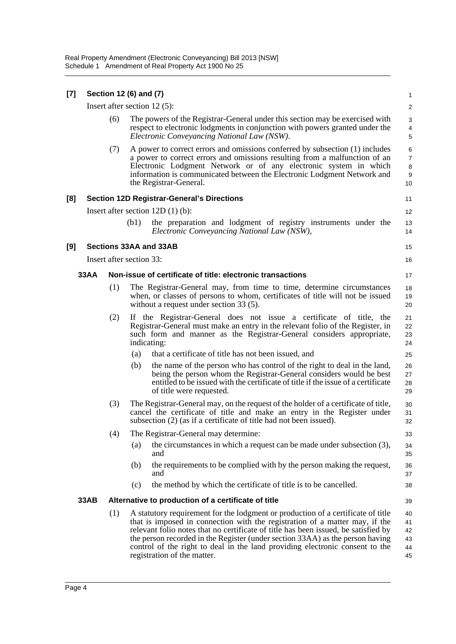| [7] |             |                                 | Section 12 (6) and (7)   |                                                                                                                                                                                                                                                                                                                                                                                                                                                       | 1                                                  |  |
|-----|-------------|---------------------------------|--------------------------|-------------------------------------------------------------------------------------------------------------------------------------------------------------------------------------------------------------------------------------------------------------------------------------------------------------------------------------------------------------------------------------------------------------------------------------------------------|----------------------------------------------------|--|
|     |             | Insert after section 12 $(5)$ : |                          |                                                                                                                                                                                                                                                                                                                                                                                                                                                       |                                                    |  |
|     |             | (6)                             |                          | The powers of the Registrar-General under this section may be exercised with<br>respect to electronic lodgments in conjunction with powers granted under the<br>Electronic Conveyancing National Law (NSW).                                                                                                                                                                                                                                           | 3<br>4<br>$\mathbf 5$                              |  |
|     |             | (7)                             |                          | A power to correct errors and omissions conferred by subsection (1) includes<br>a power to correct errors and omissions resulting from a malfunction of an<br>Electronic Lodgment Network or of any electronic system in which<br>information is communicated between the Electronic Lodgment Network and<br>the Registrar-General.                                                                                                                   | 6<br>$\overline{7}$<br>8<br>$\boldsymbol{9}$<br>10 |  |
| [8] |             |                                 |                          | <b>Section 12D Registrar-General's Directions</b>                                                                                                                                                                                                                                                                                                                                                                                                     | 11                                                 |  |
|     |             |                                 |                          | Insert after section $12D(1)(b)$ :                                                                                                                                                                                                                                                                                                                                                                                                                    | 12                                                 |  |
|     |             |                                 | (b1)                     | the preparation and lodgment of registry instruments under the<br>Electronic Conveyancing National Law (NSW),                                                                                                                                                                                                                                                                                                                                         | 13<br>14                                           |  |
| [9] |             |                                 |                          | <b>Sections 33AA and 33AB</b>                                                                                                                                                                                                                                                                                                                                                                                                                         | 15                                                 |  |
|     |             |                                 | Insert after section 33: |                                                                                                                                                                                                                                                                                                                                                                                                                                                       | 16                                                 |  |
|     | <b>33AA</b> |                                 |                          | Non-issue of certificate of title: electronic transactions                                                                                                                                                                                                                                                                                                                                                                                            | 17                                                 |  |
|     |             | (1)                             |                          | The Registrar-General may, from time to time, determine circumstances<br>when, or classes of persons to whom, certificates of title will not be issued<br>without a request under section 33 (5).                                                                                                                                                                                                                                                     | 18<br>19<br>20                                     |  |
|     |             | (2)                             |                          | If the Registrar-General does not issue a certificate of title, the<br>Registrar-General must make an entry in the relevant folio of the Register, in<br>such form and manner as the Registrar-General considers appropriate,<br>indicating:                                                                                                                                                                                                          | 21<br>22<br>23<br>24                               |  |
|     |             |                                 | (a)                      | that a certificate of title has not been issued, and                                                                                                                                                                                                                                                                                                                                                                                                  | 25                                                 |  |
|     |             |                                 | (b)                      | the name of the person who has control of the right to deal in the land,<br>being the person whom the Registrar-General considers would be best<br>entitled to be issued with the certificate of title if the issue of a certificate<br>of title were requested.                                                                                                                                                                                      | 26<br>27<br>28<br>29                               |  |
|     |             | (3)                             |                          | The Registrar-General may, on the request of the holder of a certificate of title,<br>cancel the certificate of title and make an entry in the Register under<br>subsection (2) (as if a certificate of title had not been issued).                                                                                                                                                                                                                   | 30<br>31<br>32                                     |  |
|     |             | (4)                             |                          | The Registrar-General may determine:                                                                                                                                                                                                                                                                                                                                                                                                                  | 33                                                 |  |
|     |             |                                 | (a)                      | the circumstances in which a request can be made under subsection $(3)$ ,<br>and                                                                                                                                                                                                                                                                                                                                                                      | 34<br>35                                           |  |
|     |             |                                 | (b)                      | the requirements to be complied with by the person making the request,<br>and                                                                                                                                                                                                                                                                                                                                                                         | 36<br>37                                           |  |
|     |             |                                 | (c)                      | the method by which the certificate of title is to be cancelled.                                                                                                                                                                                                                                                                                                                                                                                      | 38                                                 |  |
|     | 33AB        |                                 |                          | Alternative to production of a certificate of title                                                                                                                                                                                                                                                                                                                                                                                                   | 39                                                 |  |
|     |             | (1)                             |                          | A statutory requirement for the lodgment or production of a certificate of title<br>that is imposed in connection with the registration of a matter may, if the<br>relevant folio notes that no certificate of title has been issued, be satisfied by<br>the person recorded in the Register (under section 33AA) as the person having<br>control of the right to deal in the land providing electronic consent to the<br>registration of the matter. | 40<br>41<br>42<br>43<br>44<br>45                   |  |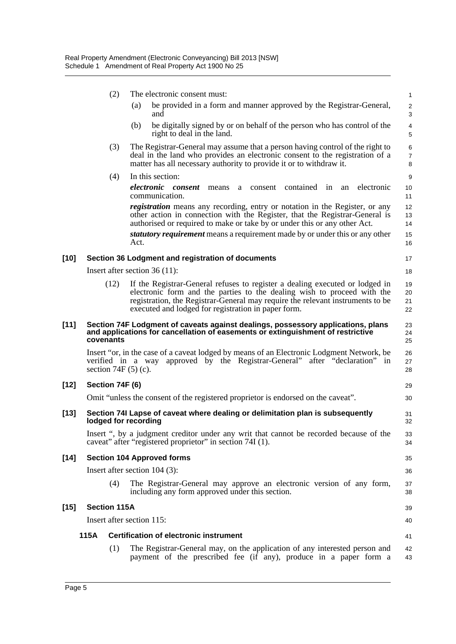|        |                     | (2)                                                                                                                                                                              | The electronic consent must:                                                                                                                                                                                                                                                                                                                  | $\mathbf{1}$                 |  |
|--------|---------------------|----------------------------------------------------------------------------------------------------------------------------------------------------------------------------------|-----------------------------------------------------------------------------------------------------------------------------------------------------------------------------------------------------------------------------------------------------------------------------------------------------------------------------------------------|------------------------------|--|
|        |                     |                                                                                                                                                                                  | be provided in a form and manner approved by the Registrar-General,<br>(a)<br>and                                                                                                                                                                                                                                                             | $\overline{\mathbf{c}}$<br>3 |  |
|        |                     |                                                                                                                                                                                  | be digitally signed by or on behalf of the person who has control of the<br>(b)<br>right to deal in the land.                                                                                                                                                                                                                                 | $\overline{\mathbf{4}}$<br>5 |  |
|        |                     | (3)                                                                                                                                                                              | The Registrar-General may assume that a person having control of the right to<br>deal in the land who provides an electronic consent to the registration of a<br>matter has all necessary authority to provide it or to withdraw it.                                                                                                          | 6<br>$\boldsymbol{7}$<br>8   |  |
|        |                     | (4)                                                                                                                                                                              | In this section:                                                                                                                                                                                                                                                                                                                              | 9                            |  |
|        |                     |                                                                                                                                                                                  | electronic<br>contained in<br>electronic<br>consent<br>consent<br>means<br>an<br>a<br>communication.                                                                                                                                                                                                                                          | 10<br>11                     |  |
|        |                     |                                                                                                                                                                                  | <i>registration</i> means any recording, entry or notation in the Register, or any<br>other action in connection with the Register, that the Registrar-General is<br>authorised or required to make or take by or under this or any other Act.<br><i>statutory requirement</i> means a requirement made by or under this or any other<br>Act. | 12<br>13<br>14<br>15         |  |
|        |                     |                                                                                                                                                                                  |                                                                                                                                                                                                                                                                                                                                               | 16                           |  |
| $[10]$ |                     |                                                                                                                                                                                  | Section 36 Lodgment and registration of documents                                                                                                                                                                                                                                                                                             | 17                           |  |
|        |                     |                                                                                                                                                                                  | Insert after section $36(11)$ :                                                                                                                                                                                                                                                                                                               | 18                           |  |
|        |                     | (12)                                                                                                                                                                             | If the Registrar-General refuses to register a dealing executed or lodged in<br>electronic form and the parties to the dealing wish to proceed with the<br>registration, the Registrar-General may require the relevant instruments to be<br>executed and lodged for registration in paper form.                                              | 19<br>20<br>21<br>22         |  |
| $[11]$ |                     | Section 74F Lodgment of caveats against dealings, possessory applications, plans<br>and applications for cancellation of easements or extinguishment of restrictive<br>covenants |                                                                                                                                                                                                                                                                                                                                               |                              |  |
|        |                     |                                                                                                                                                                                  | Insert "or, in the case of a caveat lodged by means of an Electronic Lodgment Network, be<br>verified in a way approved by the Registrar-General" after "declaration" in<br>section $74F(5)(c)$ .                                                                                                                                             | 26<br>27<br>28               |  |
| $[12]$ |                     | Section 74F (6)                                                                                                                                                                  |                                                                                                                                                                                                                                                                                                                                               |                              |  |
|        |                     |                                                                                                                                                                                  | Omit "unless the consent of the registered proprietor is endorsed on the caveat".                                                                                                                                                                                                                                                             | 30                           |  |
| $[13]$ |                     |                                                                                                                                                                                  | Section 74I Lapse of caveat where dealing or delimitation plan is subsequently<br>lodged for recording                                                                                                                                                                                                                                        | 31<br>32                     |  |
|        |                     |                                                                                                                                                                                  | Insert ", by a judgment creditor under any writ that cannot be recorded because of the<br>caveat" after "registered proprietor" in section 74I (1).                                                                                                                                                                                           | 33<br>34                     |  |
| $[14]$ |                     |                                                                                                                                                                                  | <b>Section 104 Approved forms</b>                                                                                                                                                                                                                                                                                                             | 35                           |  |
|        |                     |                                                                                                                                                                                  | Insert after section $104$ (3):                                                                                                                                                                                                                                                                                                               | 36                           |  |
|        |                     | (4)                                                                                                                                                                              | The Registrar-General may approve an electronic version of any form,<br>including any form approved under this section.                                                                                                                                                                                                                       | 37<br>38                     |  |
| $[15]$ | <b>Section 115A</b> |                                                                                                                                                                                  |                                                                                                                                                                                                                                                                                                                                               | 39                           |  |
|        |                     |                                                                                                                                                                                  | Insert after section 115:                                                                                                                                                                                                                                                                                                                     | 40                           |  |
|        | 115A                |                                                                                                                                                                                  | Certification of electronic instrument                                                                                                                                                                                                                                                                                                        | 41                           |  |
|        |                     | (1)                                                                                                                                                                              | The Registrar-General may, on the application of any interested person and<br>payment of the prescribed fee (if any), produce in a paper form a                                                                                                                                                                                               | 42<br>43                     |  |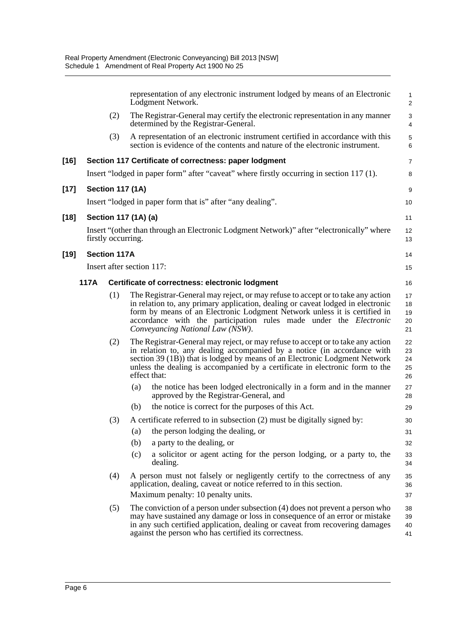|        |      |                         | representation of any electronic instrument lodged by means of an Electronic<br>Lodgment Network.                                                                                                                                                                                                                                                               | 1<br>$\overline{c}$        |
|--------|------|-------------------------|-----------------------------------------------------------------------------------------------------------------------------------------------------------------------------------------------------------------------------------------------------------------------------------------------------------------------------------------------------------------|----------------------------|
|        |      | (2)                     | The Registrar-General may certify the electronic representation in any manner<br>determined by the Registrar-General.                                                                                                                                                                                                                                           | 3<br>4                     |
|        |      | (3)                     | A representation of an electronic instrument certified in accordance with this<br>section is evidence of the contents and nature of the electronic instrument.                                                                                                                                                                                                  | 5<br>6                     |
| $[16]$ |      |                         | Section 117 Certificate of correctness: paper lodgment                                                                                                                                                                                                                                                                                                          | $\overline{7}$             |
|        |      |                         | Insert "lodged in paper form" after "caveat" where firstly occurring in section 117 (1).                                                                                                                                                                                                                                                                        | 8                          |
| $[17]$ |      | <b>Section 117 (1A)</b> |                                                                                                                                                                                                                                                                                                                                                                 | 9                          |
|        |      |                         | Insert "lodged in paper form that is" after "any dealing".                                                                                                                                                                                                                                                                                                      | 10                         |
| $[18]$ |      |                         | Section 117 (1A) (a)                                                                                                                                                                                                                                                                                                                                            | 11                         |
|        |      | firstly occurring.      | Insert "(other than through an Electronic Lodgment Network)" after "electronically" where                                                                                                                                                                                                                                                                       | 12<br>13                   |
| $[19]$ |      | <b>Section 117A</b>     |                                                                                                                                                                                                                                                                                                                                                                 | 14                         |
|        |      |                         | Insert after section 117:                                                                                                                                                                                                                                                                                                                                       | 15                         |
|        | 117A |                         | Certificate of correctness: electronic lodgment                                                                                                                                                                                                                                                                                                                 | 16                         |
|        |      | (1)                     | The Registrar-General may reject, or may refuse to accept or to take any action<br>in relation to, any primary application, dealing or caveat lodged in electronic<br>form by means of an Electronic Lodgment Network unless it is certified in<br>accordance with the participation rules made under the <i>Electronic</i><br>Conveyancing National Law (NSW). | 17<br>18<br>19<br>20<br>21 |
|        |      | (2)                     | The Registrar-General may reject, or may refuse to accept or to take any action<br>in relation to, any dealing accompanied by a notice (in accordance with<br>section 39 (1B)) that is lodged by means of an Electronic Lodgment Network<br>unless the dealing is accompanied by a certificate in electronic form to the<br>effect that:                        | 22<br>23<br>24<br>25<br>26 |
|        |      |                         | the notice has been lodged electronically in a form and in the manner<br>(a)<br>approved by the Registrar-General, and                                                                                                                                                                                                                                          | 27<br>28                   |
|        |      |                         | (b)<br>the notice is correct for the purposes of this Act.                                                                                                                                                                                                                                                                                                      | 29                         |
|        |      | (3)                     | A certificate referred to in subsection (2) must be digitally signed by:                                                                                                                                                                                                                                                                                        | 30                         |
|        |      |                         | the person lodging the dealing, or<br>(a)                                                                                                                                                                                                                                                                                                                       | 31                         |
|        |      |                         | (b)<br>a party to the dealing, or                                                                                                                                                                                                                                                                                                                               | 32                         |
|        |      |                         | (c)<br>a solicitor or agent acting for the person lodging, or a party to, the<br>dealing.                                                                                                                                                                                                                                                                       | 33<br>34                   |
|        |      | (4)                     | A person must not falsely or negligently certify to the correctness of any<br>application, dealing, caveat or notice referred to in this section.<br>Maximum penalty: 10 penalty units.                                                                                                                                                                         | 35<br>36<br>37             |
|        |      | (5)                     | The conviction of a person under subsection $(4)$ does not prevent a person who<br>may have sustained any damage or loss in consequence of an error or mistake<br>in any such certified application, dealing or caveat from recovering damages<br>against the person who has certified its correctness.                                                         | 38<br>39<br>40<br>41       |